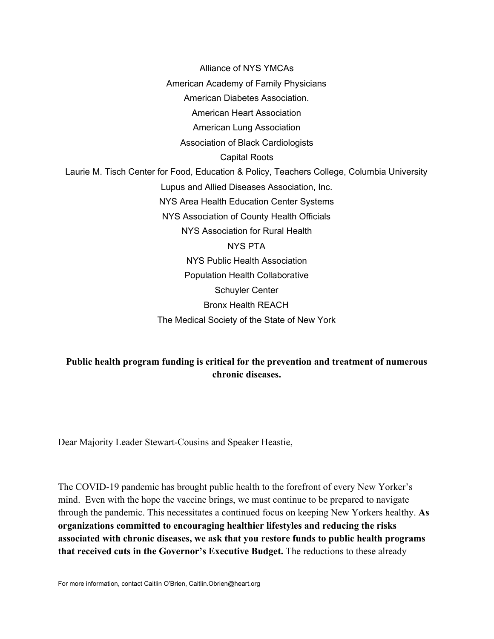Alliance of NYS YMCAs American Academy of Family Physicians American Diabetes Association. American Heart Association American Lung Association Association of Black Cardiologists Capital Roots Laurie M. Tisch Center for Food, Education & Policy, Teachers College, Columbia University Lupus and Allied Diseases Association, Inc. NYS Area Health Education Center Systems NYS Association of County Health Officials NYS Association for Rural Health NYS PTA NYS Public Health Association Population Health Collaborative Schuyler Center Bronx Health REACH The Medical Society of the State of New York

## **Public health program funding is critical for the prevention and treatment of numerous chronic diseases.**

Dear Majority Leader Stewart-Cousins and Speaker Heastie,

The COVID-19 pandemic has brought public health to the forefront of every New Yorker's mind. Even with the hope the vaccine brings, we must continue to be prepared to navigate through the pandemic. This necessitates a continued focus on keeping New Yorkers healthy. **As organizations committed to encouraging healthier lifestyles and reducing the risks associated with chronic diseases, we ask that you restore funds to public health programs that received cuts in the Governor's Executive Budget.** The reductions to these already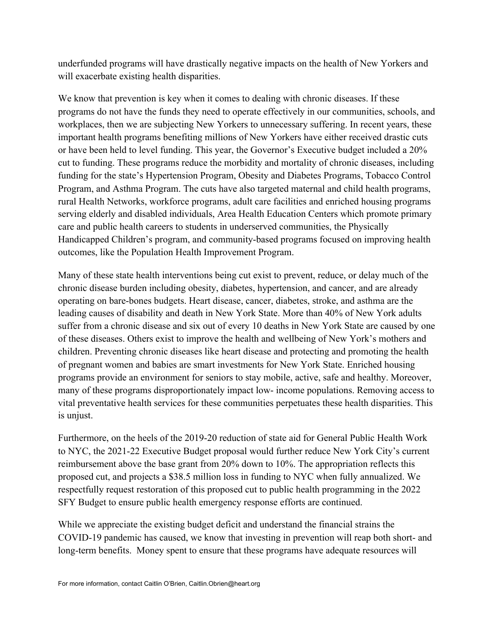underfunded programs will have drastically negative impacts on the health of New Yorkers and will exacerbate existing health disparities.

We know that prevention is key when it comes to dealing with chronic diseases. If these programs do not have the funds they need to operate effectively in our communities, schools, and workplaces, then we are subjecting New Yorkers to unnecessary suffering. In recent years, these important health programs benefiting millions of New Yorkers have either received drastic cuts or have been held to level funding. This year, the Governor's Executive budget included a 20% cut to funding. These programs reduce the morbidity and mortality of chronic diseases, including funding for the state's Hypertension Program, Obesity and Diabetes Programs, Tobacco Control Program, and Asthma Program. The cuts have also targeted maternal and child health programs, rural Health Networks, workforce programs, adult care facilities and enriched housing programs serving elderly and disabled individuals, Area Health Education Centers which promote primary care and public health careers to students in underserved communities, the Physically Handicapped Children's program, and community-based programs focused on improving health outcomes, like the Population Health Improvement Program.

Many of these state health interventions being cut exist to prevent, reduce, or delay much of the chronic disease burden including obesity, diabetes, hypertension, and cancer, and are already operating on bare-bones budgets. Heart disease, cancer, diabetes, stroke, and asthma are the leading causes of disability and death in New York State. More than 40% of New York adults suffer from a chronic disease and six out of every 10 deaths in New York State are caused by one of these diseases. Others exist to improve the health and wellbeing of New York's mothers and children. Preventing chronic diseases like heart disease and protecting and promoting the health of pregnant women and babies are smart investments for New York State. Enriched housing programs provide an environment for seniors to stay mobile, active, safe and healthy. Moreover, many of these programs disproportionately impact low- income populations. Removing access to vital preventative health services for these communities perpetuates these health disparities. This is unjust.

Furthermore, on the heels of the 2019-20 reduction of state aid for General Public Health Work to NYC, the 2021-22 Executive Budget proposal would further reduce New York City's current reimbursement above the base grant from 20% down to 10%. The appropriation reflects this proposed cut, and projects a \$38.5 million loss in funding to NYC when fully annualized. We respectfully request restoration of this proposed cut to public health programming in the 2022 SFY Budget to ensure public health emergency response efforts are continued.

While we appreciate the existing budget deficit and understand the financial strains the COVID-19 pandemic has caused, we know that investing in prevention will reap both short- and long-term benefits. Money spent to ensure that these programs have adequate resources will